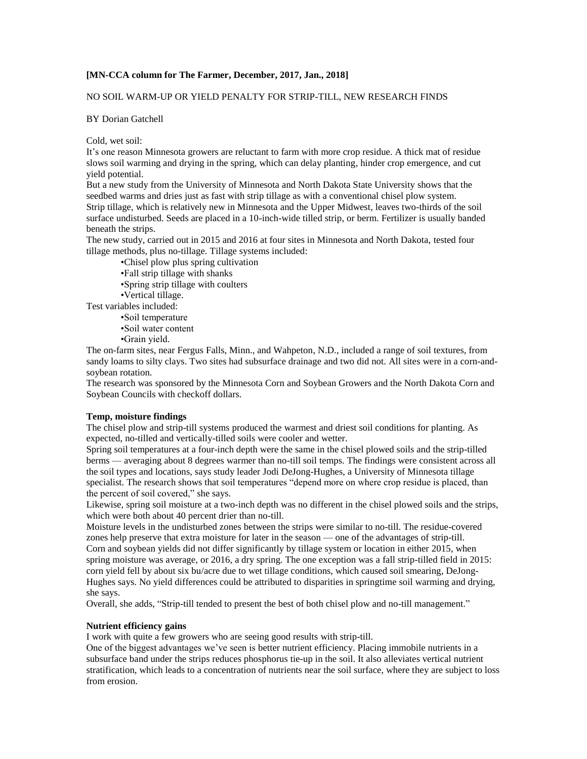## **[MN-CCA column for The Farmer, December, 2017, Jan., 2018]**

# NO SOIL WARM-UP OR YIELD PENALTY FOR STRIP-TILL, NEW RESEARCH FINDS

BY Dorian Gatchell

Cold, wet soil:

It's one reason Minnesota growers are reluctant to farm with more crop residue. A thick mat of residue slows soil warming and drying in the spring, which can delay planting, hinder crop emergence, and cut yield potential.

But a new study from the University of Minnesota and North Dakota State University shows that the seedbed warms and dries just as fast with strip tillage as with a conventional chisel plow system. Strip tillage, which is relatively new in Minnesota and the Upper Midwest, leaves two-thirds of the soil surface undisturbed. Seeds are placed in a 10-inch-wide tilled strip, or berm. Fertilizer is usually banded beneath the strips.

The new study, carried out in 2015 and 2016 at four sites in Minnesota and North Dakota, tested four tillage methods, plus no-tillage. Tillage systems included:

•Chisel plow plus spring cultivation •Fall strip tillage with shanks •Spring strip tillage with coulters •Vertical tillage. Test variables included:

•Soil temperature •Soil water content •Grain yield.

The on-farm sites, near Fergus Falls, Minn., and Wahpeton, N.D., included a range of soil textures, from sandy loams to silty clays. Two sites had subsurface drainage and two did not. All sites were in a corn-andsoybean rotation.

The research was sponsored by the Minnesota Corn and Soybean Growers and the North Dakota Corn and Soybean Councils with checkoff dollars.

### **Temp, moisture findings**

The chisel plow and strip-till systems produced the warmest and driest soil conditions for planting. As expected, no-tilled and vertically-tilled soils were cooler and wetter.

Spring soil temperatures at a four-inch depth were the same in the chisel plowed soils and the strip-tilled berms — averaging about 8 degrees warmer than no-till soil temps. The findings were consistent across all the soil types and locations, says study leader Jodi DeJong-Hughes, a University of Minnesota tillage specialist. The research shows that soil temperatures "depend more on where crop residue is placed, than the percent of soil covered," she says.

Likewise, spring soil moisture at a two-inch depth was no different in the chisel plowed soils and the strips, which were both about 40 percent drier than no-till.

Moisture levels in the undisturbed zones between the strips were similar to no-till. The residue-covered zones help preserve that extra moisture for later in the season — one of the advantages of strip-till. Corn and soybean yields did not differ significantly by tillage system or location in either 2015, when spring moisture was average, or 2016, a dry spring. The one exception was a fall strip-tilled field in 2015: corn yield fell by about six bu/acre due to wet tillage conditions, which caused soil smearing, DeJong-Hughes says. No yield differences could be attributed to disparities in springtime soil warming and drying, she says.

Overall, she adds, "Strip-till tended to present the best of both chisel plow and no-till management."

### **Nutrient efficiency gains**

I work with quite a few growers who are seeing good results with strip-till.

One of the biggest advantages we've seen is better nutrient efficiency. Placing immobile nutrients in a subsurface band under the strips reduces phosphorus tie-up in the soil. It also alleviates vertical nutrient stratification, which leads to a concentration of nutrients near the soil surface, where they are subject to loss from erosion.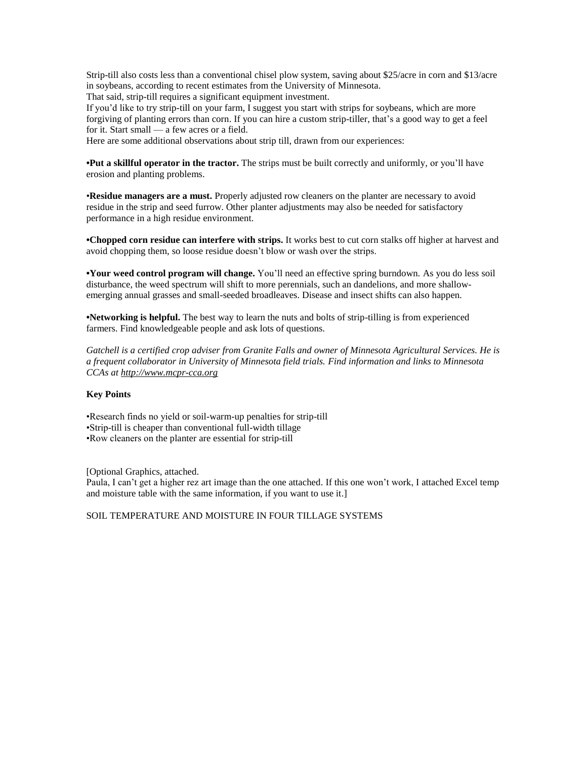Strip-till also costs less than a conventional chisel plow system, saving about \$25/acre in corn and \$13/acre in soybeans, according to recent estimates from the University of Minnesota.

That said, strip-till requires a significant equipment investment.

If you'd like to try strip-till on your farm, I suggest you start with strips for soybeans, which are more forgiving of planting errors than corn. If you can hire a custom strip-tiller, that's a good way to get a feel for it. Start small — a few acres or a field.

Here are some additional observations about strip till, drawn from our experiences:

**•Put a skillful operator in the tractor.** The strips must be built correctly and uniformly, or you'll have erosion and planting problems.

•**Residue managers are a must.** Properly adjusted row cleaners on the planter are necessary to avoid residue in the strip and seed furrow. Other planter adjustments may also be needed for satisfactory performance in a high residue environment.

**•Chopped corn residue can interfere with strips.** It works best to cut corn stalks off higher at harvest and avoid chopping them, so loose residue doesn't blow or wash over the strips.

**•Your weed control program will change.** You'll need an effective spring burndown. As you do less soil disturbance, the weed spectrum will shift to more perennials, such an dandelions, and more shallowemerging annual grasses and small-seeded broadleaves. Disease and insect shifts can also happen.

**•Networking is helpful.** The best way to learn the nuts and bolts of strip-tilling is from experienced farmers. Find knowledgeable people and ask lots of questions.

*Gatchell is a certified crop adviser from Granite Falls and owner of Minnesota Agricultural Services. He is a frequent collaborator in University of Minnesota field trials. Find information and links to Minnesota CCAs at [http://www.mcpr-cca.org](http://www.mcpr-cca.org/)*

### **Key Points**

•Research finds no yield or soil-warm-up penalties for strip-till •Strip-till is cheaper than conventional full-width tillage •Row cleaners on the planter are essential for strip-till

[Optional Graphics, attached. Paula, I can't get a higher rez art image than the one attached. If this one won't work, I attached Excel temp and moisture table with the same information, if you want to use it.]

SOIL TEMPERATURE AND MOISTURE IN FOUR TILLAGE SYSTEMS